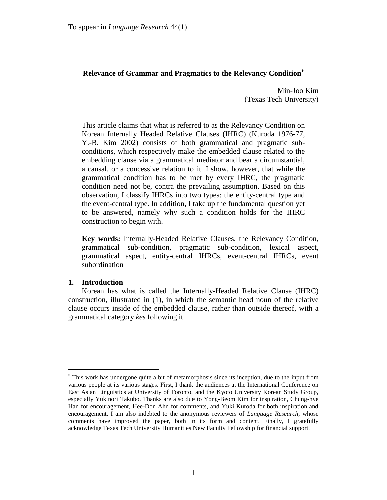# **Relevance of Grammar and Pragmatics to the Relevancy Condition**

Min-Joo Kim (Texas Tech University)

This article claims that what is referred to as the Relevancy Condition on Korean Internally Headed Relative Clauses (IHRC) (Kuroda 1976-77, Y.-B. Kim 2002) consists of both grammatical and pragmatic subconditions, which respectively make the embedded clause related to the embedding clause via a grammatical mediator and bear a circumstantial, a causal, or a concessive relation to it. I show, however, that while the grammatical condition has to be met by every IHRC, the pragmatic condition need not be, contra the prevailing assumption. Based on this observation, I classify IHRCs into two types: the entity-central type and the event-central type. In addition, I take up the fundamental question yet to be answered, namely why such a condition holds for the IHRC construction to begin with.

**Key words:** Internally-Headed Relative Clauses, the Relevancy Condition, grammatical sub-condition, pragmatic sub-condition, lexical aspect, grammatical aspect, entity-central IHRCs, event-central IHRCs, event subordination

# **1. Introduction**

 $\overline{a}$ 

Korean has what is called the Internally-Headed Relative Clause (IHRC) construction, illustrated in (1), in which the semantic head noun of the relative clause occurs inside of the embedded clause, rather than outside thereof, with a grammatical category *kes* following it.

This work has undergone quite a bit of metamorphosis since its inception, due to the input from various people at its various stages. First, I thank the audiences at the International Conference on East Asian Linguistics at University of Toronto, and the Kyoto University Korean Study Group, especially Yukinori Takubo. Thanks are also due to Yong-Beom Kim for inspiration, Chung-hye Han for encouragement, Hee-Don Ahn for comments, and Yuki Kuroda for both inspiration and encouragement. I am also indebted to the anonymous reviewers of *Language Research*, whose comments have improved the paper, both in its form and content. Finally, I gratefully acknowledge Texas Tech University Humanities New Faculty Fellowship for financial support.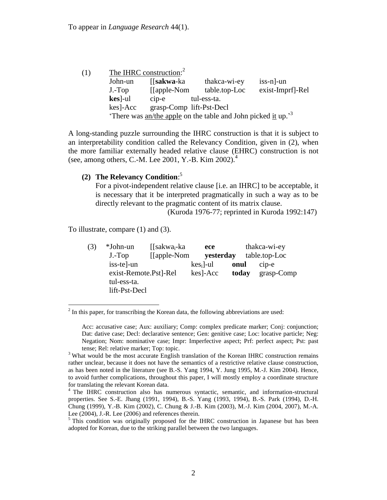| (1) |                                                                            | The IHRC construction: <sup>2</sup> |               |                  |  |  |  |
|-----|----------------------------------------------------------------------------|-------------------------------------|---------------|------------------|--|--|--|
|     | John-un                                                                    | [ <b>sakwa</b> -ka                  | thakca-wi-ey  | $is s-n$ -un     |  |  |  |
|     | $J.-Top$                                                                   | [[apple-Nom]                        | table.top-Loc | exist-Imprf]-Rel |  |  |  |
|     | $\textbf{kes}$ -ul                                                         | $cip-e$                             | tul-ess-ta.   |                  |  |  |  |
|     | kes]-Acc                                                                   | grasp-Comp lift-Pst-Decl            |               |                  |  |  |  |
|     | There was $an$ /the apple on the table and John picked it up. <sup>3</sup> |                                     |               |                  |  |  |  |

A long-standing puzzle surrounding the IHRC construction is that it is subject to an interpretability condition called the Relevancy Condition, given in (2), when the more familiar externally headed relative clause (EHRC) construction is not (see, among others, C.-M. Lee 2001, Y.-B. Kim 2002). 4

# **(2) The Relevancy Condition**: 5

For a pivot-independent relative clause [i.e. an IHRC] to be acceptable, it is necessary that it be interpreted pragmatically in such a way as to be directly relevant to the pragmatic content of its matrix clause.

(Kuroda 1976-77; reprinted in Kuroda 1992:147)

To illustrate, compare (1) and (3).

| (3) | *John-un              | $\int$ [sakwa <sub>i</sub> -ka | ece                 |       | thakca-wi-ey  |
|-----|-----------------------|--------------------------------|---------------------|-------|---------------|
|     | $J.-Top$              | [[apple-Nom]                   | yesterday           |       | table.top-Loc |
|     | iss-tel-un            |                                | $\text{kes}_i$ ]-ul | onul  | $cip-e$       |
|     | exist-Remote.Pst]-Rel |                                | kes]-Acc            | today | $grasp-Comp$  |
|     | tul-ess-ta.           |                                |                     |       |               |
|     | lift-Pst-Decl         |                                |                     |       |               |

 $2<sup>2</sup>$  In this paper, for transcribing the Korean data, the following abbreviations are used:

Acc: accusative case; Aux: auxiliary; Comp: complex predicate marker; Conj: conjunction; Dat: dative case; Decl: declarative sentence; Gen: genitive case; Loc: locative particle; Neg: Negation; Nom: nominative case; Impr: Imperfective aspect; Prf: perfect aspect; Pst: past tense; Rel: relative marker; Top: topic.

<sup>&</sup>lt;sup>3</sup> What would be the most accurate English translation of the Korean IHRC construction remains rather unclear, because it does not have the semantics of a restrictive relative clause construction, as has been noted in the literature (see B.-S. Yang 1994, Y. Jung 1995, M.-J. Kim 2004). Hence, to avoid further complications, throughout this paper, I will mostly employ a coordinate structure for translating the relevant Korean data.

<sup>&</sup>lt;sup>4</sup> The IHRC construction also has numerous syntactic, semantic, and information-structural properties. See S.-E. Jhang (1991, 1994), B.-S. Yang (1993, 1994), B.-S. Park (1994), D.-H. Chung (1999), Y.-B. Kim (2002), C. Chung & J.-B. Kim (2003), M.-J. Kim (2004, 2007), M.-A. Lee (2004), J.-R. Lee (2006) and references therein.

 $<sup>5</sup>$  This condition was originally proposed for the IHRC construction in Japanese but has been</sup> adopted for Korean, due to the striking parallel between the two languages.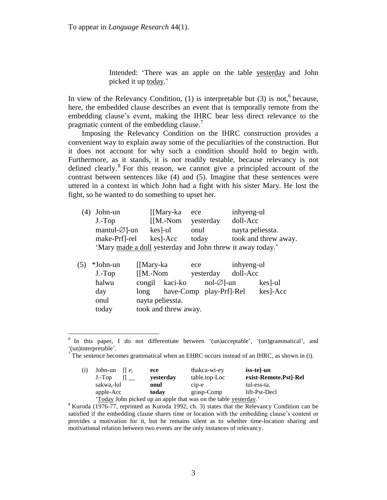$\overline{a}$ 

Intended: 'There was an apple on the table yesterday and John picked it up today.'

In view of the Relevancy Condition,  $(1)$  is interpretable but  $(3)$  is not,<sup>6</sup> because, here, the embedded clause describes an event that is temporally remote from the embedding clause's event, making the IHRC bear less direct relevance to the pragmatic content of the embedding clause.<sup>7</sup>

Imposing the Relevancy Condition on the IHRC construction provides a convenient way to explain away some of the peculiarities of the construction. But it does not account for why such a condition should hold to begin with. Furthermore, as it stands, it is not readily testable, because relevancy is not defined clearly. 8 For this reason, we cannot give a principled account of the contrast between sentences like (4) and (5). Imagine that these sentences were uttered in a context in which John had a fight with his sister Mary. He lost the fight, so he wanted to do something to upset her.

| (4) John-un                                                | [[Mary-ka  | ece       | inhyeng-ul           |  |  |  |
|------------------------------------------------------------|------------|-----------|----------------------|--|--|--|
| $J.-Top$                                                   | $[$ M.-Nom | yesterday | doll-Acc             |  |  |  |
| mantul- $\varnothing$ ]-un                                 | $kes$ ]-ul | onul      | nayta peliessta.     |  |  |  |
| make-Prf]-rel                                              | kes]-Acc   | today     | took and threw away. |  |  |  |
| 'Mary made a doll yesterday and John threw it away today.' |            |           |                      |  |  |  |

| (5) | *John-un | [[Mary-ka]  |                         | ece |              | inhyeng-ul |          |
|-----|----------|-------------|-------------------------|-----|--------------|------------|----------|
|     | $J.-Top$ | $[$ [M.-Nom |                         |     | yesterday    | doll-Acc   |          |
|     | halwu    | congil      | kaci-ko                 |     | $nol-Ø$ ]-un |            | kes]-ul  |
|     | day      | long        | have-Comp play-Prf]-Rel |     |              |            | kes]-Acc |
|     | onul     |             | nayta peliessta.        |     |              |            |          |
|     | today    |             | took and threw away.    |     |              |            |          |

<sup>&</sup>lt;sup>6</sup> In this paper, I do not differentiate between '(un)acceptable', '(un)grammatical', and ‗(un)interpretable'.

<sup>&</sup>lt;sup>7</sup> The sentence becomes grammatical when an EHRC occurs instead of an IHRC, as shown in (i).

| (i) | John-un $\left[ e_i \right]$                                     |  | ece       | thakca-wi-ey               | iss-tel-un            |  |  |  |
|-----|------------------------------------------------------------------|--|-----------|----------------------------|-----------------------|--|--|--|
|     | $J.-Top$                                                         |  | vesterday | table.top-Loc              | exist-Remote.Pst]-Rel |  |  |  |
|     | sakwa <sub>i</sub> -lul                                          |  | onul      | $c$ <sub>i</sub> $p$ - $e$ | tul-ess-ta.           |  |  |  |
|     | apple-Acc                                                        |  | today     | grasp-Comp                 | lift-Pst-Decl         |  |  |  |
|     | 'Today John picked up an apple that was on the table yesterday.' |  |           |                            |                       |  |  |  |

 $8$  Kuroda (1976-77, reprinted as Kuroda 1992, ch. 3) states that the Relevancy Condition can be satisfied if the embedding clause shares time or location with the embedding clause's content or provides a motivation for it, but he remains silent as to whether time-location sharing and motivational relation between two events are the only instances of relevancy.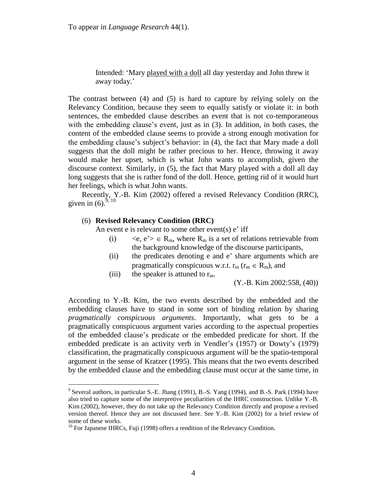To appear in *Language Research* 44(1).

Intended: ‗Mary played with a doll all day yesterday and John threw it away today.'

The contrast between (4) and (5) is hard to capture by relying solely on the Relevancy Condition, because they seem to equally satisfy or violate it: in both sentences, the embedded clause describes an event that is not co-temporaneous with the embedding clause's event, just as in (3). In addition, in both cases, the content of the embedded clause seems to provide a strong enough motivation for the embedding clause's subject's behavior: in (4), the fact that Mary made a doll suggests that the doll might be rather precious to her. Hence, throwing it away would make her upset, which is what John wants to accomplish, given the discourse context. Similarly, in (5), the fact that Mary played with a doll all day long suggests that she is rather fond of the doll. Hence, getting rid of it would hurt her feelings, which is what John wants.

Recently, Y.-B. Kim (2002) offered a revised Relevancy Condition (RRC), given in  $(6)$ .<sup>9, 10</sup>

## (6) **Revised Relevancy Condition (RRC)**

An event e is relevant to some other event(s)  $e'$  iff

- (i)  $\langle e, e^{\prime} \rangle \in R_m$ , where  $R_m$  is a set of relations retrievable from the background knowledge of the discourse participants,
- (ii) the predicates denoting e and e' share arguments which are pragmatically conspicuous w.r.t.  $r_m$  ( $r_m \in R_m$ ), and
- (iii) the speaker is attuned to  $r_m$ .

(Y.-B. Kim 2002:558, (40))

According to Y.-B. Kim, the two events described by the embedded and the embedding clauses have to stand in some sort of binding relation by sharing *pragmatically conspicuous arguments*. Importantly, what gets to be a pragmatically conspicuous argument varies according to the aspectual properties of the embedded clause's predicate or the embedded predicate for short. If the embedded predicate is an activity verb in Vendler's (1957) or Dowty's (1979) classification, the pragmatically conspicuous argument will be the spatio-temporal argument in the sense of Kratzer (1995). This means that the two events described by the embedded clause and the embedding clause must occur at the same time, in

 $9^9$  Several authors, in particular S.-E. Jhang (1991), B.-S. Yang (1994), and B.-S. Park (1994) have also tried to capture some of the interpretive peculiarities of the IHRC construction. Unlike Y.-B. Kim (2002), however, they do not take up the Relevancy Condition directly and propose a revised version thereof. Hence they are not discussed here. See Y.-B. Kim (2002) for a brief review of some of these works.

 $10$  For Japanese IHRCs, Fuji (1998) offers a rendition of the Relevancy Condition.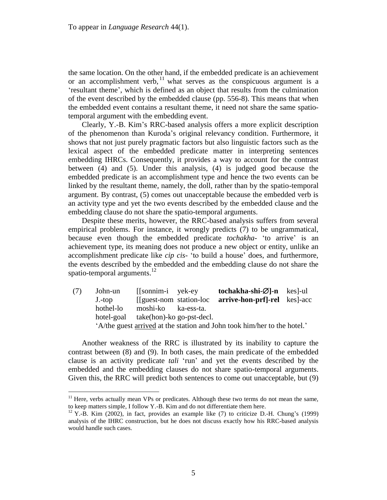the same location. On the other hand, if the embedded predicate is an achievement or an accomplishment verb,  $11$  what serves as the conspicuous argument is a ‗resultant theme', which is defined as an object that results from the culmination of the event described by the embedded clause (pp. 556-8). This means that when the embedded event contains a resultant theme, it need not share the same spatiotemporal argument with the embedding event.

Clearly, Y.-B. Kim's RRC-based analysis offers a more explicit description of the phenomenon than Kuroda's original relevancy condition. Furthermore, it shows that not just purely pragmatic factors but also linguistic factors such as the lexical aspect of the embedded predicate matter in interpreting sentences embedding IHRCs. Consequently, it provides a way to account for the contrast between (4) and (5). Under this analysis, (4) is judged good because the embedded predicate is an accomplishment type and hence the two events can be linked by the resultant theme, namely, the doll, rather than by the spatio-temporal argument. By contrast, (5) comes out unacceptable because the embedded verb is an activity type and yet the two events described by the embedded clause and the embedding clause do not share the spatio-temporal arguments.

Despite these merits, however, the RRC-based analysis suffers from several empirical problems. For instance, it wrongly predicts (7) to be ungrammatical, because even though the embedded predicate *tochakha*- ‗to arrive' is an achievement type, its meaning does not produce a new object or entity, unlike an accomplishment predicate like *cip cis-* ‗to build a house' does, and furthermore, the events described by the embedded and the embedding clause do not share the spatio-temporal arguments.<sup>12</sup>

(7) John-un [[sonnim-i yek-ey **tochakha-shi-]-n** kes]-ul J.-top [[guest-nom station-loc **arrive-hon-prf]-rel** kes]-acc hothel-lo moshi-ko ka-ess-ta. hotel-goal take(hon)-ko go-pst-decl. ‗A/the guest arrived at the station and John took him/her to the hotel.'

Another weakness of the RRC is illustrated by its inability to capture the contrast between (8) and (9). In both cases, the main predicate of the embedded clause is an activity predicate *tali* 'run' and yet the events described by the embedded and the embedding clauses do not share spatio-temporal arguments. Given this, the RRC will predict both sentences to come out unacceptable, but (9)

 $11$  Here, verbs actually mean VPs or predicates. Although these two terms do not mean the same, to keep matters simple, I follow Y.-B. Kim and do not differentiate them here.

 $12$  Y.-B. Kim (2002), in fact, provides an example like (7) to criticize D.-H. Chung's (1999) analysis of the IHRC construction, but he does not discuss exactly how his RRC-based analysis would handle such cases.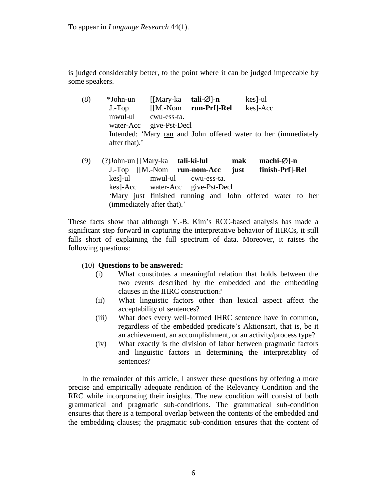is judged considerably better, to the point where it can be judged impeccable by some speakers.

- (8) \*John-un [[Mary-ka **tali-** $\varnothing$ ]-n kes]-ul J.-Top [[M.-Nom **run**-**Prf**]-**Rel** kes]-Acc mwul-ul cwu-ess-ta. water-Acc give-Pst-Decl Intended: 'Mary ran and John offered water to her (immediately after that).'
- (9) (?)John-un [[Mary-ka **tali-ki-lul mak machi-** $\varnothing$ ]-n J.-Top [[M.-Nom **run**-**nom-Acc just finish**-**Prf**]-**Rel** kes]-ul mwul-ul cwu-ess-ta. kes]-Acc water-Acc give-Pst-Decl ‗Mary just finished running and John offered water to her (immediately after that).'

These facts show that although Y.-B. Kim's RCC-based analysis has made a significant step forward in capturing the interpretative behavior of IHRCs, it still falls short of explaining the full spectrum of data. Moreover, it raises the following questions:

- (10) **Questions to be answered:**
	- (i) What constitutes a meaningful relation that holds between the two events described by the embedded and the embedding clauses in the IHRC construction?
	- (ii) What linguistic factors other than lexical aspect affect the acceptability of sentences?
	- (iii) What does every well-formed IHRC sentence have in common, regardless of the embedded predicate's Aktionsart, that is, be it an achievement, an accomplishment, or an activity/process type?
	- (iv) What exactly is the division of labor between pragmatic factors and linguistic factors in determining the interpretablity of sentences?

In the remainder of this article, I answer these questions by offering a more precise and empirically adequate rendition of the Relevancy Condition and the RRC while incorporating their insights. The new condition will consist of both grammatical and pragmatic sub-conditions. The grammatical sub-condition ensures that there is a temporal overlap between the contents of the embedded and the embedding clauses; the pragmatic sub-condition ensures that the content of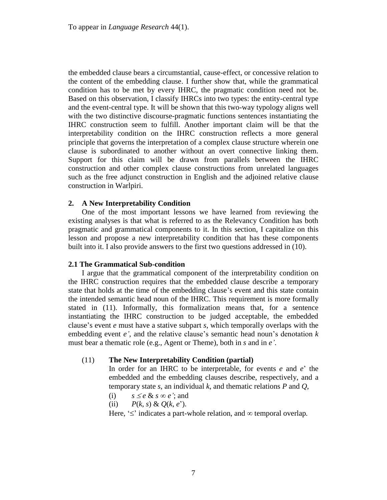the embedded clause bears a circumstantial, cause-effect, or concessive relation to the content of the embedding clause. I further show that, while the grammatical condition has to be met by every IHRC, the pragmatic condition need not be. Based on this observation, I classify IHRCs into two types: the entity-central type and the event-central type. It will be shown that this two-way typology aligns well with the two distinctive discourse-pragmatic functions sentences instantiating the IHRC construction seem to fulfill. Another important claim will be that the interpretability condition on the IHRC construction reflects a more general principle that governs the interpretation of a complex clause structure wherein one clause is subordinated to another without an overt connective linking them. Support for this claim will be drawn from parallels between the IHRC construction and other complex clause constructions from unrelated languages such as the free adjunct construction in English and the adjoined relative clause construction in Warlpiri.

# **2. A New Interpretability Condition**

One of the most important lessons we have learned from reviewing the existing analyses is that what is referred to as the Relevancy Condition has both pragmatic and grammatical components to it. In this section, I capitalize on this lesson and propose a new interpretability condition that has these components built into it. I also provide answers to the first two questions addressed in (10).

## **2.1 The Grammatical Sub-condition**

I argue that the grammatical component of the interpretability condition on the IHRC construction requires that the embedded clause describe a temporary state that holds at the time of the embedding clause's event and this state contain the intended semantic head noun of the IHRC. This requirement is more formally stated in (11). Informally, this formalization means that, for a sentence instantiating the IHRC construction to be judged acceptable, the embedded clause's event *e* must have a stative subpart *s*, which temporally overlaps with the embedding event *e'*, and the relative clause's semantic head noun's denotation *k* must bear a thematic role (e.g., Agent or Theme), both in *s* and in *e'*.

## (11) **The New Interpretability Condition (partial)**

In order for an IHRC to be interpretable, for events *e* and *e*' the embedded and the embedding clauses describe, respectively, and a temporary state *s*, an individual *k*, and thematic relations *P* and *Q*,

- (i)  $s \leq e \& s \in e$ ; and
- (ii)  $P(k, s) \& O(k, e^{\prime}).$

Here,  $\leq$ ' indicates a part-whole relation, and  $\infty$  temporal overlap.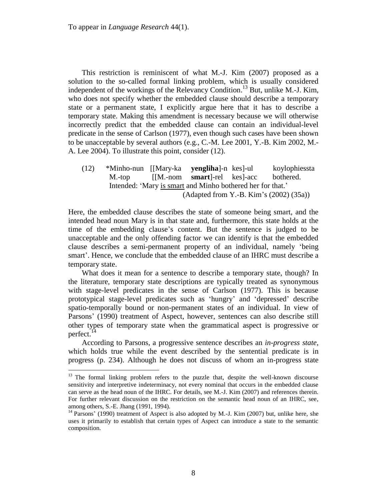$\overline{a}$ 

This restriction is reminiscent of what M.-J. Kim (2007) proposed as a solution to the so-called formal linking problem, which is usually considered independent of the workings of the Relevancy Condition.<sup>13</sup> But, unlike M.-J. Kim, who does not specify whether the embedded clause should describe a temporary state or a permanent state, I explicitly argue here that it has to describe a temporary state. Making this amendment is necessary because we will otherwise incorrectly predict that the embedded clause can contain an individual-level predicate in the sense of Carlson (1977), even though such cases have been shown to be unacceptable by several authors (e.g., C.-M. Lee 2001, Y.-B. Kim 2002, M.- A. Lee 2004). To illustrate this point, consider (12).

(12) \*Minho-nun [[Mary-ka **yengliha**]-n kes]-ul koylophiessta M.-top [[M.-nom **smart**]-rel kes]-acc bothered. Intended: 'Mary is smart and Minho bothered her for that.' (Adapted from Y.-B. Kim's (2002) (35a))

Here, the embedded clause describes the state of someone being smart, and the intended head noun Mary is in that state and, furthermore, this state holds at the time of the embedding clause's content. But the sentence is judged to be unacceptable and the only offending factor we can identify is that the embedded clause describes a semi-permanent property of an individual, namely 'being smart'. Hence, we conclude that the embedded clause of an IHRC must describe a temporary state.

What does it mean for a sentence to describe a temporary state, though? In the literature, temporary state descriptions are typically treated as synonymous with stage-level predicates in the sense of Carlson (1977). This is because prototypical stage-level predicates such as ‗hungry' and ‗depressed' describe spatio-temporally bound or non-permanent states of an individual. In view of Parsons' (1990) treatment of Aspect, however, sentences can also describe still other types of temporary state when the grammatical aspect is progressive or perfect.<sup>14</sup>

According to Parsons, a progressive sentence describes an *in-progress state*, which holds true while the event described by the sentential predicate is in progress (p. 234). Although he does not discuss of whom an in-progress state

<sup>&</sup>lt;sup>13</sup> The formal linking problem refers to the puzzle that, despite the well-known discourse sensitivity and interpretive indeterminacy, not every nominal that occurs in the embedded clause can serve as the head noun of the IHRC. For details, see M.-J. Kim (2007) and references therein. For further relevant discussion on the restriction on the semantic head noun of an IHRC, see, among others, S.-E. Jhang (1991, 1994).

<sup>&</sup>lt;sup>14</sup> Parsons' (1990) treatment of Aspect is also adopted by M.-J. Kim (2007) but, unlike here, she uses it primarily to establish that certain types of Aspect can introduce a state to the semantic composition.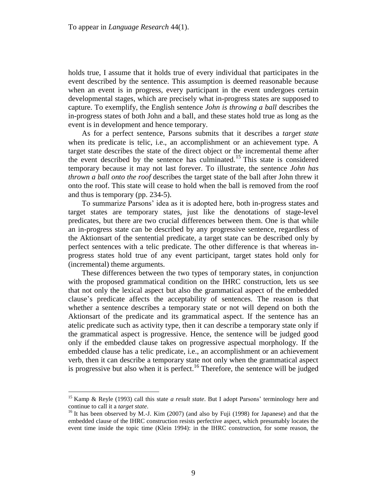holds true, I assume that it holds true of every individual that participates in the event described by the sentence. This assumption is deemed reasonable because when an event is in progress, every participant in the event undergoes certain developmental stages, which are precisely what in-progress states are supposed to capture. To exemplify, the English sentence *John is throwing a ball* describes the in-progress states of both John and a ball, and these states hold true as long as the event is in development and hence temporary.

As for a perfect sentence, Parsons submits that it describes a *target state* when its predicate is telic, i.e., an accomplishment or an achievement type. A target state describes the state of the direct object or the incremental theme after the event described by the sentence has culminated.<sup>15</sup> This state is considered temporary because it may not last forever. To illustrate, the sentence *John has thrown a ball onto the roof* describes the target state of the ball after John threw it onto the roof. This state will cease to hold when the ball is removed from the roof and thus is temporary (pp. 234-5).

To summarize Parsons' idea as it is adopted here, both in-progress states and target states are temporary states, just like the denotations of stage-level predicates, but there are two crucial differences between them. One is that while an in-progress state can be described by any progressive sentence, regardless of the Aktionsart of the sentential predicate, a target state can be described only by perfect sentences with a telic predicate. The other difference is that whereas inprogress states hold true of any event participant, target states hold only for (incremental) theme arguments.

These differences between the two types of temporary states, in conjunction with the proposed grammatical condition on the IHRC construction, lets us see that not only the lexical aspect but also the grammatical aspect of the embedded clause's predicate affects the acceptability of sentences. The reason is that whether a sentence describes a temporary state or not will depend on both the Aktionsart of the predicate and its grammatical aspect. If the sentence has an atelic predicate such as activity type, then it can describe a temporary state only if the grammatical aspect is progressive. Hence, the sentence will be judged good only if the embedded clause takes on progressive aspectual morphology. If the embedded clause has a telic predicate, i.e., an accomplishment or an achievement verb, then it can describe a temporary state not only when the grammatical aspect is progressive but also when it is perfect.<sup>16</sup> Therefore, the sentence will be judged

<sup>15</sup> Kamp & Reyle (1993) call this state *a result state*. But I adopt Parsons' terminology here and continue to call it a *target state*.

<sup>&</sup>lt;sup>16</sup> It has been observed by M.-J. Kim (2007) (and also by Fuji (1998) for Japanese) and that the embedded clause of the IHRC construction resists perfective aspect, which presumably locates the event time inside the topic time (Klein 1994): in the IHRC construction, for some reason, the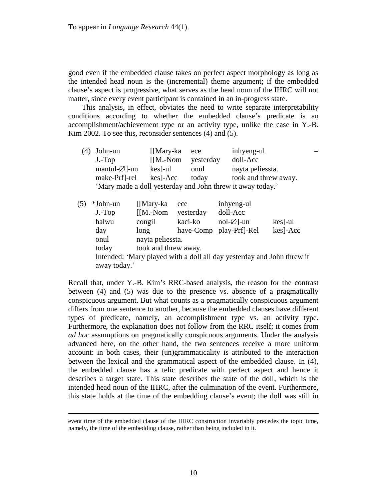good even if the embedded clause takes on perfect aspect morphology as long as the intended head noun is the (incremental) theme argument; if the embedded clause's aspect is progressive, what serves as the head noun of the IHRC will not matter, since every event participant is contained in an in-progress state.

This analysis, in effect, obviates the need to write separate interpretability conditions according to whether the embedded clause's predicate is an accomplishment/achievement type or an activity type, unlike the case in Y.-B. Kim 2002. To see this, reconsider sentences (4) and (5).

| (4) | John-un                    | $\left[\right]$ Mary-ka | ece       | inhyeng-ul                                                 |  |
|-----|----------------------------|-------------------------|-----------|------------------------------------------------------------|--|
|     | $J.-Top$                   | $[$ [M.-Nom             | yesterday | doll-Acc                                                   |  |
|     | mantul- $\varnothing$ ]-un | $\text{kes}$ -ul        | onul      | nayta peliessta.                                           |  |
|     | make-Prf]-rel              | $kes$ -Acc              | today     | took and threw away.                                       |  |
|     |                            |                         |           | 'Mary made a doll yesterday and John threw it away today.' |  |
| (5) | *John-un                   | [Mary-ka]               |           | inhyeng-ul                                                 |  |
|     |                            | ece                     |           |                                                            |  |

| (C) | ™Jonn-un     | H Mary-ka            | ece       | innyeng-ui                                                             |          |
|-----|--------------|----------------------|-----------|------------------------------------------------------------------------|----------|
|     | J.-Top       | $[$ [M.-Nom          | yesterday | doll-Acc                                                               |          |
|     | halwu        | congil               | kaci-ko   | $nol-Ø$ ]-un                                                           | kes]-ul  |
|     | day          | long                 | have-Comp | play-Prf]-Rel                                                          | kes]-Acc |
|     | onul         | nayta peliessta.     |           |                                                                        |          |
|     | today        | took and threw away. |           |                                                                        |          |
|     |              |                      |           | Intended: 'Mary played with a doll all day yesterday and John threw it |          |
|     | away today.' |                      |           |                                                                        |          |

Recall that, under Y.-B. Kim's RRC-based analysis, the reason for the contrast between (4) and (5) was due to the presence vs. absence of a pragmatically conspicuous argument. But what counts as a pragmatically conspicuous argument differs from one sentence to another, because the embedded clauses have different types of predicate, namely, an accomplishment type vs. an activity type. Furthermore, the explanation does not follow from the RRC itself; it comes from *ad hoc* assumptions on pragmatically conspicuous arguments. Under the analysis advanced here, on the other hand, the two sentences receive a more uniform account: in both cases, their (un)grammaticality is attributed to the interaction between the lexical and the grammatical aspect of the embedded clause. In (4), the embedded clause has a telic predicate with perfect aspect and hence it describes a target state. This state describes the state of the doll, which is the intended head noun of the IHRC, after the culmination of the event. Furthermore, this state holds at the time of the embedding clause's event; the doll was still in

event time of the embedded clause of the IHRC construction invariably precedes the topic time, namely, the time of the embedding clause, rather than being included in it.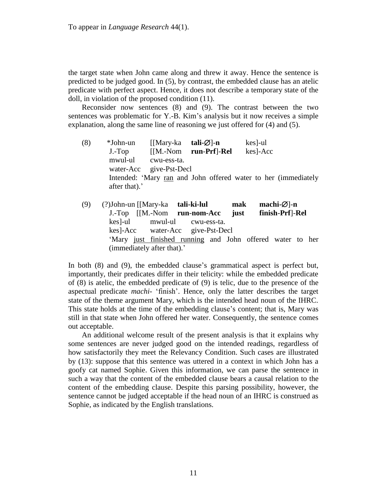the target state when John came along and threw it away. Hence the sentence is predicted to be judged good. In (5), by contrast, the embedded clause has an atelic predicate with perfect aspect. Hence, it does not describe a temporary state of the doll, in violation of the proposed condition (11).

Reconsider now sentences (8) and (9). The contrast between the two sentences was problematic for Y.-B. Kim's analysis but it now receives a simple explanation, along the same line of reasoning we just offered for (4) and (5).

- (8) \*John-un [[Mary-ka **tali-** $\varnothing$ ]-n kes]-ul J.-Top [[M.-Nom **run**-**Prf**]-**Rel** kes]-Acc mwul-ul cwu-ess-ta. water-Acc give-Pst-Decl Intended: ‗Mary ran and John offered water to her (immediately after that).'
- (9) (?)John-un [[Mary-ka **tali-ki-lul mak machi-** $\varnothing$ ]-n J.-Top [[M.-Nom **run**-**nom-Acc just finish**-**Prf**]-**Rel** kes]-ul mwul-ul cwu-ess-ta. kes]-Acc water-Acc give-Pst-Decl ‗Mary just finished running and John offered water to her (immediately after that).'

In both (8) and (9), the embedded clause's grammatical aspect is perfect but, importantly, their predicates differ in their telicity: while the embedded predicate of (8) is atelic, the embedded predicate of (9) is telic, due to the presence of the aspectual predicate *machi*- ‗finish'. Hence, only the latter describes the target state of the theme argument Mary, which is the intended head noun of the IHRC. This state holds at the time of the embedding clause's content; that is, Mary was still in that state when John offered her water. Consequently, the sentence comes out acceptable.

An additional welcome result of the present analysis is that it explains why some sentences are never judged good on the intended readings, regardless of how satisfactorily they meet the Relevancy Condition. Such cases are illustrated by (13): suppose that this sentence was uttered in a context in which John has a goofy cat named Sophie. Given this information, we can parse the sentence in such a way that the content of the embedded clause bears a causal relation to the content of the embedding clause. Despite this parsing possibility, however, the sentence cannot be judged acceptable if the head noun of an IHRC is construed as Sophie, as indicated by the English translations.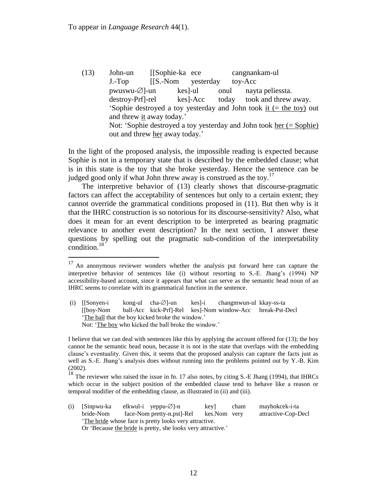$\overline{a}$ 

(13) John-un [[Sophie-ka ece cangnankam-ul J.-Top [[S.-Nom yesterday toy-Acc]  $pwuswu-\varnothing$ -un kes]-ul onul nayta peliessta. destroy-Prf]-rel kes]-Acc today took and threw away. ‗Sophie destroyed a toy yesterday and John took it (= the toy) out and threw it away today.' Not: 'Sophie destroyed a toy yesterday and John took her (= Sophie) out and threw her away today.'

In the light of the proposed analysis, the impossible reading is expected because Sophie is not in a temporary state that is described by the embedded clause; what is in this state is the toy that she broke yesterday. Hence the sentence can be judged good only if what John threw away is construed as the toy.<sup>17</sup>

The interpretive behavior of (13) clearly shows that discourse-pragmatic factors can affect the acceptability of sentences but only to a certain extent; they cannot override the grammatical conditions proposed in (11). But then why is it that the IHRC construction is so notorious for its discourse-sensitivity? Also, what does it mean for an event description to be interpreted as bearing pragmatic relevance to another event description? In the next section, I answer these questions by spelling out the pragmatic sub-condition of the interpretability condition.<sup>18</sup>

<sup>&</sup>lt;sup>18</sup> The reviewer who raised the issue in fn. 17 also notes, by citing S.-E Jhang (1994), that IHRCs which occur in the subject position of the embedded clause tend to behave like a reason or temporal modifier of the embedding clause, as illustrated in (ii) and (iii).

| (i) [Sinpwu-ka                                        |  | elkwul-i yeppu- $\emptyset$ ]-n                              | kevl         | cham | mayhokcek-i-ta      |  |  |
|-------------------------------------------------------|--|--------------------------------------------------------------|--------------|------|---------------------|--|--|
| bride-Nom                                             |  | face-Nom pretty-n.pst.-Rel                                   | kes.Nom very |      | attractive-Cop-Decl |  |  |
| The bride whose face is pretty looks very attractive. |  |                                                              |              |      |                     |  |  |
|                                                       |  | Or 'Because the bride is pretty, she looks very attractive.' |              |      |                     |  |  |

 $17$  An anonymous reviewer wonders whether the analysis put forward here can capture the interpretive behavior of sentences like (i) without resorting to S.-E. Jhang's (1994) NP accessibility-based account, since it appears that what can serve as the semantic head noun of an IHRC seems to correlate with its grammatical function in the sentence.

<sup>(</sup>i) [[Sonyen-i kong-ul cha- $\varnothing$ ]-un kes]-i changmwun-ul kkay-ss-ta [[boy-Nom ball-Acc kick-Prf]-Rel kes]-Nom window-Acc break-Pst-Decl ‗The ball that the boy kicked broke the window.' Not: 'The boy who kicked the ball broke the window.'

I believe that we can deal with sentences like this by applying the account offered for (13); the boy cannot be the semantic head noun, because it is not in the state that overlaps with the embedding clause's eventuality. Given this, it seems that the proposed analysis can capture the facts just as well as S.-E. Jhang's analysis does without running into the problems pointed out by Y.-B. Kim (2002).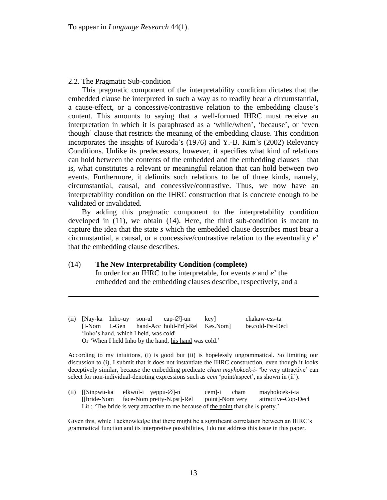## 2.2. The Pragmatic Sub-condition

 $\overline{a}$ 

This pragmatic component of the interpretability condition dictates that the embedded clause be interpreted in such a way as to readily bear a circumstantial, a cause-effect, or a concessive/contrastive relation to the embedding clause's content. This amounts to saying that a well-formed IHRC must receive an interpretation in which it is paraphrased as a 'while/when', 'because', or 'even though' clause that restricts the meaning of the embedding clause. This condition incorporates the insights of Kuroda's (1976) and Y.-B. Kim's (2002) Relevancy Conditions. Unlike its predecessors, however, it specifies what kind of relations can hold between the contents of the embedded and the embedding clauses—that is, what constitutes a relevant or meaningful relation that can hold between two events. Furthermore, it delimits such relations to be of three kinds, namely, circumstantial, causal, and concessive/contrastive. Thus, we now have an interpretability condition on the IHRC construction that is concrete enough to be validated or invalidated.

By adding this pragmatic component to the interpretability condition developed in (11), we obtain (14). Here, the third sub-condition is meant to capture the idea that the state *s* which the embedded clause describes must bear a circumstantial, a causal, or a concessive/contrastive relation to the eventuality *e*' that the embedding clause describes.

## (14) **The New Interpretability Condition (complete)**

In order for an IHRC to be interpretable, for events *e* and *e*' the embedded and the embedding clauses describe, respectively, and a

(ii) [Nay-ka Inho-uy son-ul cap- $\emptyset$ ]-un key] chakaw-ess-ta [I-Nom I.-Gen hand-Acc hold-Prf]-Rel Kes.Nom] be.cold-Pst-Decl 'Inho's hand, which I held, was cold' Or 'When I held Inho by the hand, his hand was cold.'

According to my intuitions, (i) is good but (ii) is hopelessly ungrammatical. So limiting our discussion to (i), I submit that it does not instantiate the IHRC construction, even though it looks deceptively similar, because the embedding predicate *cham mayhokcek-i-* ‗be very attractive' can select for non-individual-denoting expressions such as *cem* 'point/aspect', as shown in (ii').

(ii)  $[|Sinpwu-ka$  elkwul-i yeppu- $\emptyset$ ]-n cem]-i cham mayhokcek-i-ta [[bride-Nom face-Nom pretty-N.pst]-Rel point]-Nom very attractive-Cop-Decl Lit.: 'The bride is very attractive to me because of the point that she is pretty.'

Given this, while I acknowledge that there might be a significant correlation between an IHRC's grammatical function and its interpretive possibilities, I do not address this issue in this paper.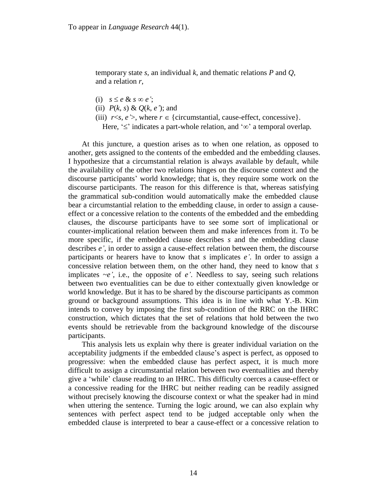temporary state *s*, an individual *k*, and thematic relations *P* and *Q*, and a relation *r*,

- (i)  $s \leq e \& s \in e'$ ;
- (ii) *P*(*k*, *s*) & *Q*(*k*, *e'*); and
- (iii)  $r \leq s$ , *e*' $>$ , where  $r \in$  {circumstantial, cause-effect, concessive}. Here,  $\leq$  indicates a part-whole relation, and  $\infty$  a temporal overlap.

At this juncture, a question arises as to when one relation, as opposed to another, gets assigned to the contents of the embedded and the embedding clauses. I hypothesize that a circumstantial relation is always available by default, while the availability of the other two relations hinges on the discourse context and the discourse participants' world knowledge; that is, they require some work on the discourse participants. The reason for this difference is that, whereas satisfying the grammatical sub-condition would automatically make the embedded clause bear a circumstantial relation to the embedding clause, in order to assign a causeeffect or a concessive relation to the contents of the embedded and the embedding clauses, the discourse participants have to see some sort of implicational or counter-implicational relation between them and make inferences from it. To be more specific, if the embedded clause describes *s* and the embedding clause describes *e'*, in order to assign a cause-effect relation between them, the discourse participants or hearers have to know that *s* implicates *e'*. In order to assign a concessive relation between them, on the other hand, they need to know that *s* implicates  $\sim e'$ , i.e., the opposite of  $e'$ . Needless to say, seeing such relations between two eventualities can be due to either contextually given knowledge or world knowledge. But it has to be shared by the discourse participants as common ground or background assumptions. This idea is in line with what Y.-B. Kim intends to convey by imposing the first sub-condition of the RRC on the IHRC construction, which dictates that the set of relations that hold between the two events should be retrievable from the background knowledge of the discourse participants.

This analysis lets us explain why there is greater individual variation on the acceptability judgments if the embedded clause's aspect is perfect, as opposed to progressive: when the embedded clause has perfect aspect, it is much more difficult to assign a circumstantial relation between two eventualities and thereby give a ‗while' clause reading to an IHRC. This difficulty coerces a cause-effect or a concessive reading for the IHRC but neither reading can be readily assigned without precisely knowing the discourse context or what the speaker had in mind when uttering the sentence. Turning the logic around, we can also explain why sentences with perfect aspect tend to be judged acceptable only when the embedded clause is interpreted to bear a cause-effect or a concessive relation to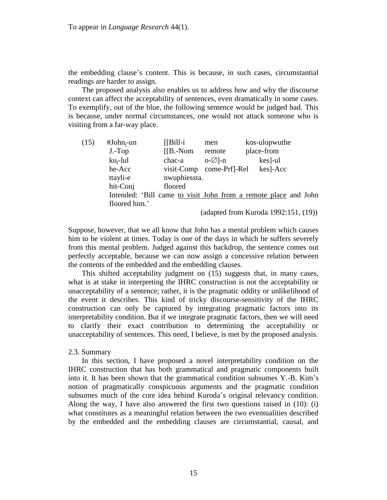the embedding clause's content. This is because, in such cases, circumstantial readings are harder to assign.

The proposed analysis also enables us to address how and why the discourse context can affect the acceptability of sentences, even dramatically in some cases. To exemplify, out of the blue, the following sentence would be judged bad. This is because, under normal circumstances, one would not attack someone who is visiting from a far-way place.

| (15) | #John <sub>i</sub> -un | $[ Bill-i]$  | men                | kos-ulopwuthe                                                   |
|------|------------------------|--------------|--------------------|-----------------------------------------------------------------|
|      | $J.-Top$               | $[IB.-Nom]$  | remote             | place-from                                                      |
|      | $ku_i$ -lul            | chac-a       | $o-\varnothing$ -n | $\text{kes}$ -ul                                                |
|      | he-Acc                 | visit-Comp   | come-Prf]-Rel      | kes]-Acc                                                        |
|      | ttayli-e               | nwuphiessta. |                    |                                                                 |
|      | hit-Conj               | floored      |                    |                                                                 |
|      |                        |              |                    | Intended: 'Bill came to visit John from a remote place and John |
|      | floored him.'          |              |                    |                                                                 |
|      |                        |              |                    |                                                                 |

(adapted from Kuroda 1992:151, (19))

Suppose, however, that we all know that John has a mental problem which causes him to be violent at times. Today is one of the days in which he suffers severely from this mental problem. Judged against this backdrop, the sentence comes out perfectly acceptable, because we can now assign a concessive relation between the contents of the embedded and the embedding clauses.

This shifted acceptability judgment on (15) suggests that, in many cases, what is at stake in interpreting the IHRC construction is not the acceptability or unacceptability of a sentence; rather, it is the pragmatic oddity or unlikelihood of the event it describes. This kind of tricky discourse-sensitivity of the IHRC construction can only be captured by integrating pragmatic factors into its interpretability condition. But if we integrate pragmatic factors, then we will need to clarify their exact contribution to determining the acceptability or unacceptability of sentences. This need, I believe, is met by the proposed analysis.

## 2.3. Summary

In this section, I have proposed a novel interpretability condition on the IHRC construction that has both grammatical and pragmatic components built into it. It has been shown that the grammatical condition subsumes Y.-B. Kim's notion of pragmatically conspicuous arguments and the pragmatic condition subsumes much of the core idea behind Kuroda's original relevancy condition. Along the way, I have also answered the first two questions raised in (10): (i) what constitutes as a meaningful relation between the two eventualities described by the embedded and the embedding clauses are circumstantial, causal, and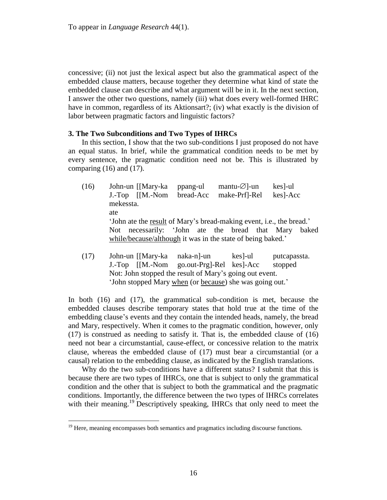concessive; (ii) not just the lexical aspect but also the grammatical aspect of the embedded clause matters, because together they determine what kind of state the embedded clause can describe and what argument will be in it. In the next section, I answer the other two questions, namely (iii) what does every well-formed IHRC have in common, regardless of its Aktionsart?; (iv) what exactly is the division of labor between pragmatic factors and linguistic factors?

## **3. The Two Subconditions and Two Types of IHRCs**

In this section, I show that the two sub-conditions I just proposed do not have an equal status. In brief, while the grammatical condition needs to be met by every sentence, the pragmatic condition need not be. This is illustrated by comparing  $(16)$  and  $(17)$ .

- $(16)$  John-un [[Mary-ka ppang-ul mantu- $\emptyset$ ]-un kes]-ul J.-Top [[M.-Nom bread-Acc make-Prf]-Rel kes]-Acc mekessta. ate ‗John ate the result of Mary's bread-making event, i.e., the bread.' Not necessarily: ‗John ate the bread that Mary baked while/because/although it was in the state of being baked.'
- (17) John-un [[Mary-ka naka-n]-un kes]-ul putcapassta. J.-Top [[M.-Nom go.out-Prg]-Rel kes]-Acc stopped Not: John stopped the result of Mary's going out event. ‗John stopped Mary when (or because) she was going out.'

In both (16) and (17), the grammatical sub-condition is met, because the embedded clauses describe temporary states that hold true at the time of the embedding clause's events and they contain the intended heads, namely, the bread and Mary, respectively. When it comes to the pragmatic condition, however, only (17) is construed as needing to satisfy it. That is, the embedded clause of (16) need not bear a circumstantial, cause-effect, or concessive relation to the matrix clause, whereas the embedded clause of (17) must bear a circumstantial (or a causal) relation to the embedding clause, as indicated by the English translations.

Why do the two sub-conditions have a different status? I submit that this is because there are two types of IHRCs, one that is subject to only the grammatical condition and the other that is subject to both the grammatical and the pragmatic conditions. Importantly, the difference between the two types of IHRCs correlates with their meaning.<sup>19</sup> Descriptively speaking, IHRCs that only need to meet the

 $19$  Here, meaning encompasses both semantics and pragmatics including discourse functions.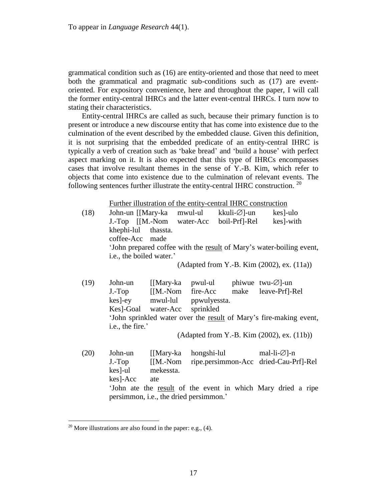grammatical condition such as (16) are entity-oriented and those that need to meet both the grammatical and pragmatic sub-conditions such as (17) are eventoriented. For expository convenience, here and throughout the paper, I will call the former entity-central IHRCs and the latter event-central IHRCs. I turn now to stating their characteristics.

Entity-central IHRCs are called as such, because their primary function is to present or introduce a new discourse entity that has come into existence due to the culmination of the event described by the embedded clause. Given this definition, it is not surprising that the embedded predicate of an entity-central IHRC is typically a verb of creation such as ‗bake bread' and ‗build a house' with perfect aspect marking on it. It is also expected that this type of IHRCs encompasses cases that involve resultant themes in the sense of Y.-B. Kim, which refer to objects that come into existence due to the culmination of relevant events. The following sentences further illustrate the entity-central IHRC construction.  $^{20}$ 

Further illustration of the entity-central IHRC construction

| (18) | khephi-lul thassta.<br>coffee-Acc made | John-un [[Mary-ka mwul-ul<br>J.-Top [[M.-Nom water-Acc         | kkuli-∅]-un<br>boil-Prf]-Rel                     | kes]-ulo<br>kes]-with                                                                                              |
|------|----------------------------------------|----------------------------------------------------------------|--------------------------------------------------|--------------------------------------------------------------------------------------------------------------------|
|      | i.e., the boiled water.'               |                                                                |                                                  | 'John prepared coffee with the result of Mary's water-boiling event,<br>(Adapted from Y.-B. Kim (2002), ex. (11a)) |
| (19) | John-un<br>i.e., the fire.'            | kes]-ey mwul-lul ppwulyessta.<br>Kes]-Goal water-Acc sprinkled | [[Mary-ka pwul-ul phiwue twu- $\varnothing$ ]-un | J.-Top [[M.-Nom fire-Acc make leave-Prf]-Rel<br>'John sprinkled water over the result of Mary's fire-making event, |
|      |                                        |                                                                |                                                  | (Adapted from Y.-B. Kim (2002), ex. (11b))                                                                         |
| (20) | kes  -ul mekessta.<br>kes]-Acc ate     | John-un [[Mary-ka<br>$J.-Top$ $[[M.-Nom$                       | hongshi-lul mal-li- $\varnothing$ ]-n            | ripe.persimmon-Acc dried-Cau-Prf]-Rel                                                                              |
|      |                                        | persimmon, <i>i.e.</i> , the dried persimmon.'                 |                                                  | 'John ate the result of the event in which Mary dried a ripe                                                       |

<sup>&</sup>lt;sup>20</sup> More illustrations are also found in the paper: e.g.,  $(4)$ .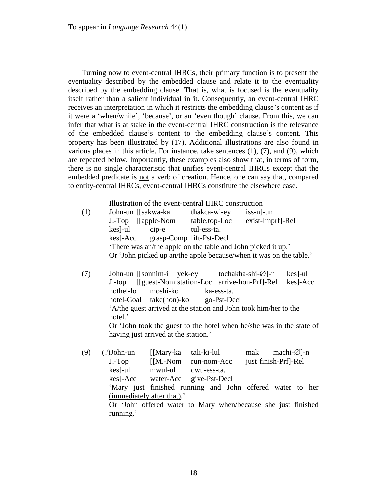To appear in *Language Research* 44(1).

Turning now to event-central IHRCs, their primary function is to present the eventuality described by the embedded clause and relate it to the eventuality described by the embedding clause. That is, what is focused is the eventuality itself rather than a salient individual in it. Consequently, an event-central IHRC receives an interpretation in which it restricts the embedding clause's content as if it were a 'when/while', 'because', or an 'even though' clause. From this, we can infer that what is at stake in the event-central IHRC construction is the relevance of the embedded clause's content to the embedding clause's content. This property has been illustrated by (17). Additional illustrations are also found in various places in this article. For instance, take sentences (1), (7), and (9), which are repeated below. Importantly, these examples also show that, in terms of form, there is no single characteristic that unifies event-central IHRCs except that the embedded predicate is not a verb of creation. Hence, one can say that, compared to entity-central IHRCs, event-central IHRCs constitute the elsewhere case.

Illustration of the event-central IHRC construction

| (1) | John-un [[sakwa-ka                                           |         | thakca-wi-ey             | $is$ s-n $]-un$                                                    |  |  |  |  |
|-----|--------------------------------------------------------------|---------|--------------------------|--------------------------------------------------------------------|--|--|--|--|
|     | J.-Top [[apple-Nom                                           |         | table.top-Loc            | exist-Imprf]-Rel                                                   |  |  |  |  |
|     | kes]-ul                                                      | $cip-e$ | tul-ess-ta.              |                                                                    |  |  |  |  |
|     | kes]-Acc                                                     |         | grasp-Comp lift-Pst-Decl |                                                                    |  |  |  |  |
|     | 'There was an/the apple on the table and John picked it up.' |         |                          |                                                                    |  |  |  |  |
|     |                                                              |         |                          | Or 'John picked up an/the apple because/when it was on the table.' |  |  |  |  |

(7) John-un [[sonnim-i yek-ey tochakha-shi- $\varnothing$ ]-n kes]-ul J.-top [[guest-Nom station-Loc arrive-hon-Prf]-Rel kes]-Acc hothel-lo moshi-ko ka-ess-ta. hotel-Goal take(hon)-ko go-Pst-Decl ‗A/the guest arrived at the station and John took him/her to the hotel.' Or 'John took the guest to the hotel when he/she was in the state of having just arrived at the station.'

(9) (?)John-un [[Mary-ka tali-ki-lul mak machi- $\emptyset$ ]-n J.-Top [[M.-Nom run-nom-Acc just finish-Prf]-Rel kes]-ul mwul-ul cwu-ess-ta. kes]-Acc water-Acc give-Pst-Decl ‗Mary just finished running and John offered water to her (immediately after that).' Or 'John offered water to Mary when/because she just finished running.'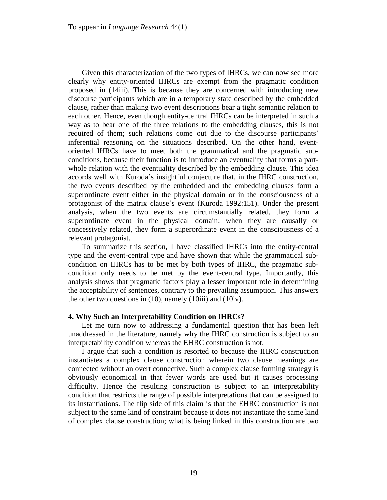Given this characterization of the two types of IHRCs, we can now see more clearly why entity-oriented IHRCs are exempt from the pragmatic condition proposed in (14iii). This is because they are concerned with introducing new discourse participants which are in a temporary state described by the embedded clause, rather than making two event descriptions bear a tight semantic relation to each other. Hence, even though entity-central IHRCs can be interpreted in such a way as to bear one of the three relations to the embedding clauses, this is not required of them; such relations come out due to the discourse participants' inferential reasoning on the situations described. On the other hand, eventoriented IHRCs have to meet both the grammatical and the pragmatic subconditions, because their function is to introduce an eventuality that forms a partwhole relation with the eventuality described by the embedding clause. This idea accords well with Kuroda's insightful conjecture that, in the IHRC construction, the two events described by the embedded and the embedding clauses form a superordinate event either in the physical domain or in the consciousness of a protagonist of the matrix clause's event (Kuroda 1992:151). Under the present analysis, when the two events are circumstantially related, they form a superordinate event in the physical domain; when they are causally or concessively related, they form a superordinate event in the consciousness of a relevant protagonist.

To summarize this section, I have classified IHRCs into the entity-central type and the event-central type and have shown that while the grammatical subcondition on IHRCs has to be met by both types of IHRC, the pragmatic subcondition only needs to be met by the event-central type. Importantly, this analysis shows that pragmatic factors play a lesser important role in determining the acceptability of sentences, contrary to the prevailing assumption. This answers the other two questions in (10), namely (10iii) and (10iv).

## **4. Why Such an Interpretability Condition on IHRCs?**

Let me turn now to addressing a fundamental question that has been left unaddressed in the literature, namely why the IHRC construction is subject to an interpretability condition whereas the EHRC construction is not.

I argue that such a condition is resorted to because the IHRC construction instantiates a complex clause construction wherein two clause meanings are connected without an overt connective. Such a complex clause forming strategy is obviously economical in that fewer words are used but it causes processing difficulty. Hence the resulting construction is subject to an interpretability condition that restricts the range of possible interpretations that can be assigned to its instantiations. The flip side of this claim is that the EHRC construction is not subject to the same kind of constraint because it does not instantiate the same kind of complex clause construction; what is being linked in this construction are two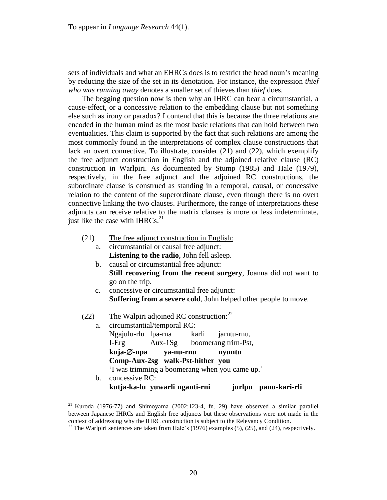sets of individuals and what an EHRCs does is to restrict the head noun's meaning by reducing the size of the set in its denotation. For instance, the expression *thief who was running away* denotes a smaller set of thieves than *thief* does.

The begging question now is then why an IHRC can bear a circumstantial, a cause-effect, or a concessive relation to the embedding clause but not something else such as irony or paradox? I contend that this is because the three relations are encoded in the human mind as the most basic relations that can hold between two eventualities. This claim is supported by the fact that such relations are among the most commonly found in the interpretations of complex clause constructions that lack an overt connective. To illustrate, consider (21) and (22), which exemplify the free adjunct construction in English and the adjoined relative clause (RC) construction in Warlpiri. As documented by Stump (1985) and Hale (1979), respectively, in the free adjunct and the adjoined RC constructions, the subordinate clause is construed as standing in a temporal, causal, or concessive relation to the content of the superordinate clause, even though there is no overt connective linking the two clauses. Furthermore, the range of interpretations these adjuncts can receive relative to the matrix clauses is more or less indeterminate, just like the case with IHRCs. $^{21}$ 

- (21) The free adjunct construction in English:
	- a. circumstantial or causal free adjunct: **Listening to the radio**, John fell asleep.
		- b. causal or circumstantial free adjunct: **Still recovering from the recent surgery**, Joanna did not want to go on the trip.
		- c. concessive or circumstantial free adjunct: **Suffering from a severe cold**, John helped other people to move.
- (22) The Walpiri adjoined RC construction: $^{22}$

| a. | circumstantial/temporal RC:      |       |                                                |                      |
|----|----------------------------------|-------|------------------------------------------------|----------------------|
|    | Ngajulu-rlu lpa-rna              | karli | jarntu-rnu,                                    |                      |
|    | I-Erg                            |       | Aux-1Sg boomerang trim-Pst,                    |                      |
|    | kuja-Ø-npa ya-nu-rnu             |       | nyuntu                                         |                      |
|    | Comp-Aux-2sg walk-Pst-hither you |       |                                                |                      |
|    |                                  |       | 'I was trimming a boomerang when you came up.' |                      |
| b. | concessive RC:                   |       |                                                |                      |
|    | kutja-ka-lu yuwarli nganti-rni   |       |                                                | jurlpu panu-kari-rli |

<sup>&</sup>lt;sup>21</sup> Kuroda (1976-77) and Shimoyama (2002:123-4, fn. 29) have observed a similar parallel between Japanese IHRCs and English free adjuncts but these observations were not made in the context of addressing why the IHRC construction is subject to the Relevancy Condition.

<sup>&</sup>lt;sup>22</sup> The Warlpiri sentences are taken from Hale's (1976) examples (5), (25), and (24), respectively.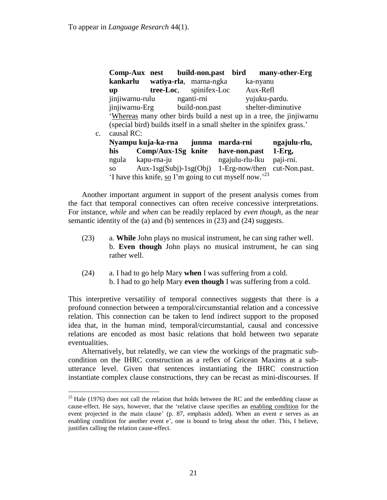|                |                                                                         |  |                                 |  | Comp-Aux nest build-non.past bird many-other-Erg |  |  |
|----------------|-------------------------------------------------------------------------|--|---------------------------------|--|--------------------------------------------------|--|--|
|                |                                                                         |  | kankarlu watiya-rla, marna-ngka |  | ka-nyanu                                         |  |  |
|                | $\mathbf{u}\mathbf{p}$                                                  |  | <b>tree-Loc</b> , spinifex-Loc  |  | Aux-Refl                                         |  |  |
|                | jinjiwarnu-rulu                                                         |  | nganti-rni                      |  | yujuku-pardu.                                    |  |  |
|                |                                                                         |  | jinjiwarnu-Erg build-non.past   |  | shelter-diminutive                               |  |  |
|                | 'Whereas many other birds build a nest up in a tree, the jinjiwarnu     |  |                                 |  |                                                  |  |  |
|                | (special bird) builds itself in a small shelter in the spinifex grass.' |  |                                 |  |                                                  |  |  |
| $\mathbf{c}$ . | causal RC:                                                              |  |                                 |  |                                                  |  |  |
|                |                                                                         |  |                                 |  |                                                  |  |  |

|                                                                   | Nyampu kuja-ka-rna                                        | junma marda-rni | ngajulu-rlu, |  |  |  |  |
|-------------------------------------------------------------------|-----------------------------------------------------------|-----------------|--------------|--|--|--|--|
| his                                                               | Comp/Aux-1Sg knite                                        | have-non.past   | $1-Erg,$     |  |  |  |  |
| ngula                                                             | kapu-rna-ju                                               | ngajulu-rlu-lku | paji-rni.    |  |  |  |  |
| SO <sub>2</sub>                                                   | $Aux - 1sg(Subi) - 1sg(Obj)$ 1-Erg-now/then cut-Non.past. |                 |              |  |  |  |  |
| 'I have this knife, so I'm going to cut myself now. <sup>23</sup> |                                                           |                 |              |  |  |  |  |

Another important argument in support of the present analysis comes from the fact that temporal connectives can often receive concessive interpretations. For instance, *while* and *when* can be readily replaced by *even though*, as the near semantic identity of the (a) and (b) sentences in (23) and (24) suggests.

- (23) a. **While** John plays no musical instrument, he can sing rather well. b. **Even though** John plays no musical instrument, he can sing rather well.
- (24) a. I had to go help Mary **when** I was suffering from a cold. b. I had to go help Mary **even though** I was suffering from a cold.

This interpretive versatility of temporal connectives suggests that there is a profound connection between a temporal/circumstantial relation and a concessive relation. This connection can be taken to lend indirect support to the proposed idea that, in the human mind, temporal/circumstantial, causal and concessive relations are encoded as most basic relations that hold between two separate eventualities.

Alternatively, but relatedly, we can view the workings of the pragmatic subcondition on the IHRC construction as a reflex of Gricean Maxims at a subutterance level. Given that sentences instantiating the IHRC construction instantiate complex clause constructions, they can be recast as mini-discourses. If

 $^{23}$  Hale (1976) does not call the relation that holds between the RC and the embedding clause as cause-effect. He says, however, that the 'relative clause specifies an enabling condition for the event projected in the main clause' (p. 87, emphasis added). When an event *e* serves as an enabling condition for another event e', one is bound to bring about the other. This, I believe, justifies calling the relation cause-effect.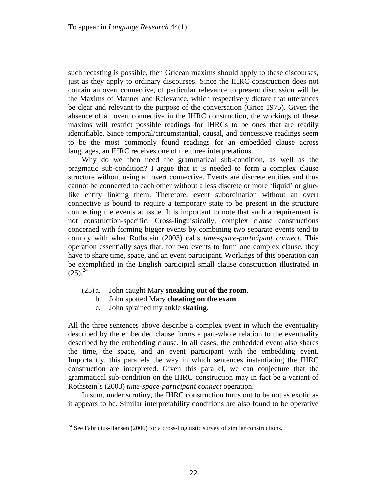such recasting is possible, then Gricean maxims should apply to these discourses, just as they apply to ordinary discourses. Since the IHRC construction does not contain an overt connective, of particular relevance to present discussion will be the Maxims of Manner and Relevance, which respectively dictate that utterances be clear and relevant to the purpose of the conversation (Grice 1975). Given the absence of an overt connective in the IHRC construction, the workings of these maxims will restrict possible readings for IHRCs to be ones that are readily identifiable. Since temporal/circumstantial, causal, and concessive readings seem to be the most commonly found readings for an embedded clause across languages, an IHRC receives one of the three interpretations.

Why do we then need the grammatical sub-condition, as well as the pragmatic sub-condition? I argue that it is needed to form a complex clause structure without using an overt connective. Events are discrete entities and thus cannot be connected to each other without a less discrete or more 'liquid' or gluelike entity linking them. Therefore, event subordination without an overt connective is bound to require a temporary state to be present in the structure connecting the events at issue. It is important to note that such a requirement is not construction-specific. Cross-linguistically, complex clause constructions concerned with forming bigger events by combining two separate events tend to comply with what Rothstein (2003) calls *time-space-participant connect*. This operation essentially says that, for two events to form one complex clause, they have to share time, space, and an event participant. Workings of this operation can be exemplified in the English participial small clause construction illustrated in  $(25).^{24}$ 

- (25) a. John caught Mary **sneaking out of the room**.
	- b. John spotted Mary **cheating on the exam**.
		- c. John sprained my ankle **skating**.

 $\overline{a}$ 

All the three sentences above describe a complex event in which the eventuality described by the embedded clause forms a part-whole relation to the eventuality described by the embedding clause. In all cases, the embedded event also shares the time, the space, and an event participant with the embedding event. Importantly, this parallels the way in which sentences instantiating the IHRC construction are interpreted. Given this parallel, we can conjecture that the grammatical sub-condition on the IHRC construction may in fact be a variant of Rothstein's (2003) *time-space-participant connect* operation.

In sum, under scrutiny, the IHRC construction turns out to be not as exotic as it appears to be. Similar interpretability conditions are also found to be operative

 $24$  See Fabricius-Hansen (2006) for a cross-linguistic survey of similar constructions.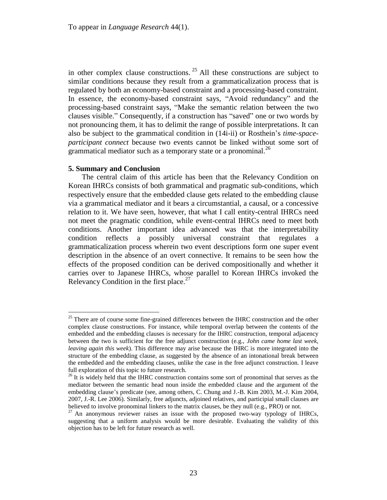in other complex clause constructions.  $25$  All these constructions are subject to similar conditions because they result from a grammaticalization process that is regulated by both an economy-based constraint and a processing-based constraint. In essence, the economy-based constraint says, "Avoid redundancy" and the processing-based constraint says, "Make the semantic relation between the two clauses visible." Consequently, if a construction has "saved" one or two words by not pronouncing them, it has to delimit the range of possible interpretations. It can also be subject to the grammatical condition in (14i-ii) or Rosthein's *time-spaceparticipant connect* because two events cannot be linked without some sort of grammatical mediator such as a temporary state or a pronominal.<sup>26</sup>

#### **5. Summary and Conclusion**

 $\overline{a}$ 

The central claim of this article has been that the Relevancy Condition on Korean IHRCs consists of both grammatical and pragmatic sub-conditions, which respectively ensure that the embedded clause gets related to the embedding clause via a grammatical mediator and it bears a circumstantial, a causal, or a concessive relation to it. We have seen, however, that what I call entity-central IHRCs need not meet the pragmatic condition, while event-central IHRCs need to meet both conditions. Another important idea advanced was that the interpretability condition reflects a possibly universal constraint that regulates a grammaticalization process wherein two event descriptions form one super event description in the absence of an overt connective. It remains to be seen how the effects of the proposed condition can be derived compositionally and whether it carries over to Japanese IHRCs, whose parallel to Korean IHRCs invoked the Relevancy Condition in the first place.<sup>27</sup>

 $25$  There are of course some fine-grained differences between the IHRC construction and the other complex clause constructions. For instance, while temporal overlap between the contents of the embedded and the embedding clauses is necessary for the IHRC construction, temporal adjacency between the two is sufficient for the free adjunct construction (e.g., *John came home last week, leaving again this week*). This difference may arise because the IHRC is more integrated into the structure of the embedding clause, as suggested by the absence of an intonational break between the embedded and the embedding clauses, unlike the case in the free adjunct construction. I leave full exploration of this topic to future research.

 $^{26}$  It is widely held that the IHRC construction contains some sort of pronominal that serves as the mediator between the semantic head noun inside the embedded clause and the argument of the embedding clause's predicate (see, among others, C. Chung and J.-B. Kim 2003, M.-J. Kim 2004, 2007, J.-R. Lee 2006). Similarly, free adjuncts, adjoined relatives, and participial small clauses are believed to involve pronominal linkers to the matrix clauses, be they null (e.g., PRO) or not.

 $27$  An anonymous reviewer raises an issue with the proposed two-way typology of IHRCs, suggesting that a uniform analysis would be more desirable. Evaluating the validity of this objection has to be left for future research as well.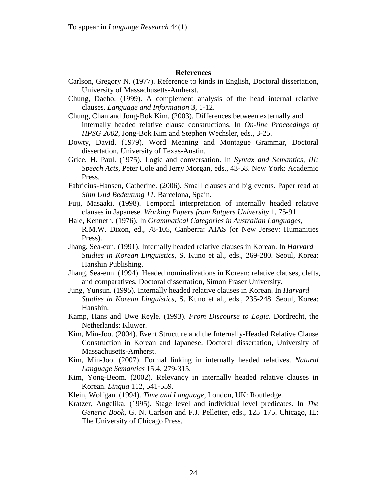To appear in *Language Research* 44(1).

## **References**

- Carlson, Gregory N. (1977). Reference to kinds in English, Doctoral dissertation, University of Massachusetts-Amherst.
- Chung, Daeho. (1999). A complement analysis of the head internal relative clauses. *Language and Information* 3, 1-12.
- Chung, Chan and Jong-Bok Kim. (2003). Differences between externally and internally headed relative clause constructions. In *On-line Proceedings of HPSG 2002*, Jong-Bok Kim and Stephen Wechsler, eds., 3-25.
- Dowty, David. (1979). Word Meaning and Montague Grammar, Doctoral dissertation, University of Texas-Austin.
- Grice, H. Paul. (1975). Logic and conversation. In *Syntax and Semantics, III: Speech Acts*, Peter Cole and Jerry Morgan, eds., 43-58. New York: Academic Press.
- Fabricius-Hansen, Catherine. (2006). Small clauses and big events. Paper read at *Sinn Und Bedeutung 11*, Barcelona, Spain.
- Fuji, Masaaki. (1998). Temporal interpretation of internally headed relative clauses in Japanese. *Working Papers from Rutgers University* 1, 75-91.
- Hale, Kenneth. (1976). In *Grammatical Categories in Australian Languages*, R.M.W. Dixon, ed., 78-105, Canberra: AIAS (or New Jersey: Humanities Press).
- Jhang, Sea-eun. (1991). Internally headed relative clauses in Korean. In *Harvard Studies in Korean Linguistics*, S. Kuno et al., eds., 269-280. Seoul, Korea: Hanshin Publishing.
- Jhang, Sea-eun. (1994). Headed nominalizations in Korean: relative clauses, clefts, and comparatives, Doctoral dissertation, Simon Fraser University.
- Jung, Yunsun. (1995). Internally headed relative clauses in Korean. In *Harvard Studies in Korean Linguistics*, S. Kuno et al., eds., 235-248. Seoul, Korea: Hanshin.
- Kamp, Hans and Uwe Reyle. (1993). *From Discourse to Logic*. Dordrecht, the Netherlands: Kluwer.
- Kim, Min-Joo. (2004). Event Structure and the Internally-Headed Relative Clause Construction in Korean and Japanese. Doctoral dissertation, University of Massachusetts-Amherst.
- Kim, Min-Joo. (2007). Formal linking in internally headed relatives. *Natural Language Semantics* 15.4, 279-315.
- Kim, Yong-Beom. (2002). Relevancy in internally headed relative clauses in Korean. *Lingua* 112, 541-559.

Klein, Wolfgan. (1994). *Time and Language*, London, UK: Routledge.

Kratzer, Angelika. (1995). Stage level and individual level predicates. In *The Generic Book*, G. N. Carlson and F.J. Pelletier, eds., 125–175. Chicago, IL: The University of Chicago Press.